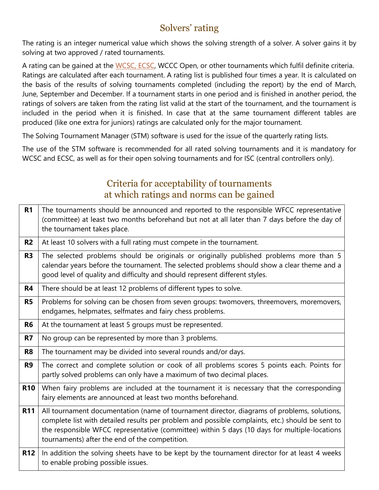# Solvers' rating

The rating is an integer numerical value which shows the solving strength of a solver. A solver gains it by solving at two approved / rated tournaments.

A rating can be gained at the [WCSC,](https://www.wfcc.ch/1999-2012/wcsc/) ECSC, WCCC Open, or other tournaments which fulfil definite criteria. Ratings are calculated after each tournament. A rating list is published four times a year. It is calculated on the basis of the results of solving tournaments completed (including the report) by the end of March, June, September and December. If a tournament starts in one period and is finished in another period, the ratings of solvers are taken from the rating list valid at the start of the tournament, and the tournament is included in the period when it is finished. In case that at the same tournament different tables are produced (like one extra for juniors) ratings are calculated only for the major tournament.

The Solving Tournament Manager (STM) software is used for the issue of the quarterly rating lists.

The use of the STM software is recommended for all rated solving tournaments and it is mandatory for WCSC and ECSC, as well as for their open solving tournaments and for ISC (central controllers only).

## Criteria for acceptability of tournaments at which ratings and norms can be gained

| R <sub>1</sub> | The tournaments should be announced and reported to the responsible WFCC representative<br>(committee) at least two months beforehand but not at all later than 7 days before the day of<br>the tournament takes place.                                                                                                                            |
|----------------|----------------------------------------------------------------------------------------------------------------------------------------------------------------------------------------------------------------------------------------------------------------------------------------------------------------------------------------------------|
| R <sub>2</sub> | At least 10 solvers with a full rating must compete in the tournament.                                                                                                                                                                                                                                                                             |
| R <sub>3</sub> | The selected problems should be originals or originally published problems more than 5<br>calendar years before the tournament. The selected problems should show a clear theme and a<br>good level of quality and difficulty and should represent different styles.                                                                               |
| <b>R4</b>      | There should be at least 12 problems of different types to solve.                                                                                                                                                                                                                                                                                  |
| <b>R5</b>      | Problems for solving can be chosen from seven groups: twomovers, threemovers, moremovers,<br>endgames, helpmates, selfmates and fairy chess problems.                                                                                                                                                                                              |
| R <sub>6</sub> | At the tournament at least 5 groups must be represented.                                                                                                                                                                                                                                                                                           |
| R7             | No group can be represented by more than 3 problems.                                                                                                                                                                                                                                                                                               |
| R <sub>8</sub> | The tournament may be divided into several rounds and/or days.                                                                                                                                                                                                                                                                                     |
| R <sub>9</sub> | The correct and complete solution or cook of all problems scores 5 points each. Points for<br>partly solved problems can only have a maximum of two decimal places.                                                                                                                                                                                |
| <b>R10</b>     | When fairy problems are included at the tournament it is necessary that the corresponding<br>fairy elements are announced at least two months beforehand.                                                                                                                                                                                          |
| <b>R11</b>     | All tournament documentation (name of tournament director, diagrams of problems, solutions,<br>complete list with detailed results per problem and possible complaints, etc.) should be sent to<br>the responsible WFCC representative (committee) within 5 days (10 days for multiple-locations<br>tournaments) after the end of the competition. |
| <b>R12</b>     | In addition the solving sheets have to be kept by the tournament director for at least 4 weeks<br>to enable probing possible issues.                                                                                                                                                                                                               |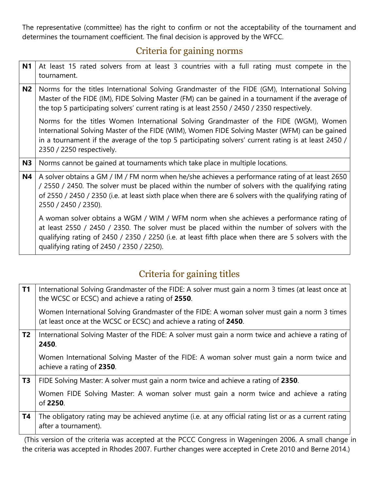The representative (committee) has the right to confirm or not the acceptability of the tournament and determines the tournament coefficient. The final decision is approved by the WFCC.

## Criteria for gaining norms

| N <sub>1</sub> | At least 15 rated solvers from at least 3 countries with a full rating must compete in the<br>tournament.                                                                                                                                                                                                                                    |  |  |  |
|----------------|----------------------------------------------------------------------------------------------------------------------------------------------------------------------------------------------------------------------------------------------------------------------------------------------------------------------------------------------|--|--|--|
| N <sub>2</sub> | Norms for the titles International Solving Grandmaster of the FIDE (GM), International Solving<br>Master of the FIDE (IM), FIDE Solving Master (FM) can be gained in a tournament if the average of<br>the top 5 participating solvers' current rating is at least 2550 / 2450 / 2350 respectively.                                          |  |  |  |
|                | Norms for the titles Women International Solving Grandmaster of the FIDE (WGM), Women<br>International Solving Master of the FIDE (WIM), Women FIDE Solving Master (WFM) can be gained<br>in a tournament if the average of the top 5 participating solvers' current rating is at least 2450 /<br>2350 / 2250 respectively.                  |  |  |  |
| N <sub>3</sub> | Norms cannot be gained at tournaments which take place in multiple locations.                                                                                                                                                                                                                                                                |  |  |  |
| <b>N4</b>      | A solver obtains a GM / IM / FM norm when he/she achieves a performance rating of at least 2650<br>/ 2550 / 2450. The solver must be placed within the number of solvers with the qualifying rating<br>of 2550 / 2450 / 2350 (i.e. at least sixth place when there are 6 solvers with the qualifying rating of<br>2550 / 2450 / 2350).       |  |  |  |
|                | A woman solver obtains a WGM / WIM / WFM norm when she achieves a performance rating of<br>at least 2550 / 2450 / 2350. The solver must be placed within the number of solvers with the<br>qualifying rating of 2450 / 2350 / 2250 (i.e. at least fifth place when there are 5 solvers with the<br>qualifying rating of 2450 / 2350 / 2250). |  |  |  |

# Criteria for gaining titles

| <b>T1</b>      | International Solving Grandmaster of the FIDE: A solver must gain a norm 3 times (at least once at<br>the WCSC or ECSC) and achieve a rating of 2550.             |  |  |  |
|----------------|-------------------------------------------------------------------------------------------------------------------------------------------------------------------|--|--|--|
|                | Women International Solving Grandmaster of the FIDE: A woman solver must gain a norm 3 times<br>(at least once at the WCSC or ECSC) and achieve a rating of 2450. |  |  |  |
| T <sub>2</sub> | International Solving Master of the FIDE: A solver must gain a norm twice and achieve a rating of<br>2450.                                                        |  |  |  |
|                | Women International Solving Master of the FIDE: A woman solver must gain a norm twice and<br>achieve a rating of 2350.                                            |  |  |  |
| T <sub>3</sub> | FIDE Solving Master: A solver must gain a norm twice and achieve a rating of 2350.                                                                                |  |  |  |
|                | Women FIDE Solving Master: A woman solver must gain a norm twice and achieve a rating<br>of 2250.                                                                 |  |  |  |
| T4             | The obligatory rating may be achieved anytime (i.e. at any official rating list or as a current rating<br>after a tournament).                                    |  |  |  |
|                | (This version of the criteria was accented at the PCCC Congress in Wageningen 2006. A small change                                                                |  |  |  |

(This version of the criteria was accepted at the PCCC Congress in Wageningen 2006. A small change in the criteria was accepted in Rhodes 2007. Further changes were accepted in Crete 2010 and Berne 2014.)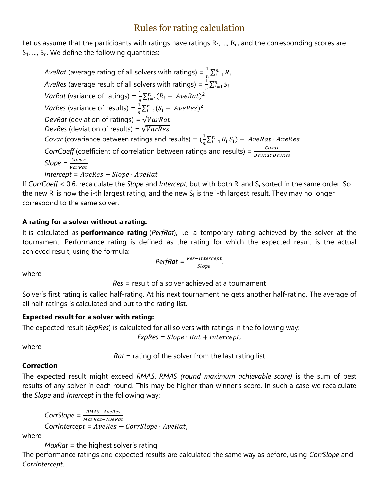## Rules for rating calculation

Let us assume that the participants with ratings have ratings  $R_1$ , ...,  $R_n$ , and the corresponding scores are  $S_1$ , ...,  $S_n$ . We define the following quantities:

*AveRat* (average rating of all solvers with ratings) =  $\frac{1}{n}\sum_{i=1}^{n}R_{i}$ *AveRes* (average result of all solvers with ratings) =  $\frac{1}{n} \sum_{i=1}^{n} S_i$ *VarRat* (variance of ratings) =  $\frac{1}{n} \sum_{i=1}^{n} (R_i - AveRat)^2$ *VarRes* (variance of results) =  $\frac{1}{n} \sum_{i=1}^{n} (S_i - AveRes)^2$ *DevRat* (deviation of ratings) =  $\sqrt{VarRat}$ *DevRes* (deviation of results) =  $\sqrt{VarRes}$ *Covar* (covariance between ratings and results) =  $(\frac{1}{2})$  $\frac{1}{n}\sum_{i=1}^{n} R_i S_i$  – AveRat · AveRes *CorrCoeff* (coefficient of correlation between ratings and results) =  $\frac{Covar}{DevRat\cdot DevR}$ *Slope* =  $\frac{Covar}{r}$ VarRat  $Intercept = AveRes - Slope \cdot AveRat$ 

If *CorrCoeff* < 0.6, recalculate the *Slope* and *Intercept*, but with both R<sup>i</sup> and S<sup>i</sup> sorted in the same order. So the new  $R_i$  is now the i-th largest rating, and the new  $S_i$  is the i-th largest result. They may no longer correspond to the same solver.

### **A rating for a solver without a rating:**

It is calculated as **performance rating** (*PerfRat*), i.e. a temporary rating achieved by the solver at the tournament. Performance rating is defined as the rating for which the expected result is the actual achieved result, using the formula:

$$
Perf Rat = \frac{Res-Intercept}{Slope},
$$

where

*Res* = result of a solver achieved at a tournament

Solver's first rating is called half-rating. At his next tournament he gets another half-rating. The average of all half-ratings is calculated and put to the rating list.

#### **Expected result for a solver with rating:**

The expected result (*ExpRes*) is calculated for all solvers with ratings in the following way:

 $ExpRes = Slope \cdot Rat + Intercept,$ 

where

*Rat* = rating of the solver from the last rating list

#### **Correction**

The expected result might exceed *RMAS*. *RMAS (round maximum achievable score)* is the sum of best results of any solver in each round. This may be higher than winner's score. In such a case we recalculate the *Slope* and *Intercept* in the following way:

 $CorrSlope = \frac{RMAS-AveRes}{M}$ MaxRat-AveRat *CorrIntercept* =  $AveRes - CorrSlope \cdot AveRat$ ,

where

*MaxRat* = the highest solver's rating

The performance ratings and expected results are calculated the same way as before, using *CorrSlope* and *CorrIntercept*.